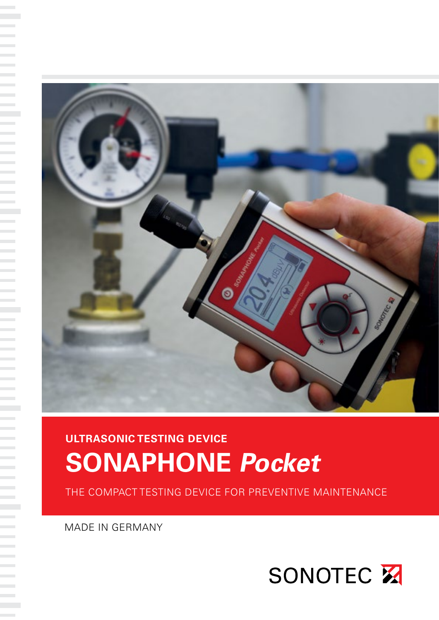

MADE IN GERMANY

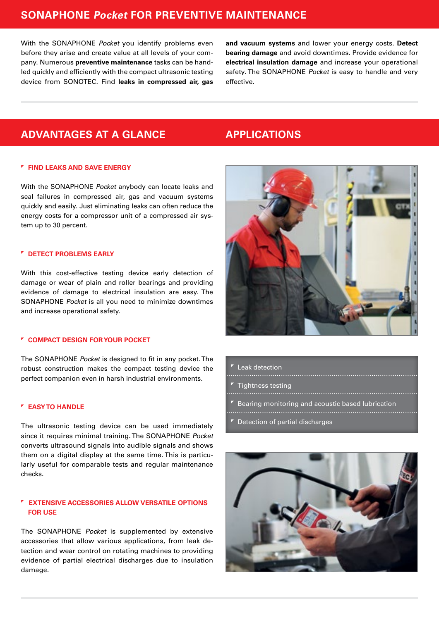# **SONAPHONE Pocket FOR PREVENTIVE MAINTENANCE**

With the SONAPHONE Pocket you identify problems even before they arise and create value at all levels of your company. Numerous **preventive maintenance** tasks can be handled quickly and efficiently with the compact ultrasonic testing device from SONOTEC. Find **leaks in compressed air, gas**  **and vacuum systems** and lower your energy costs. **Detect bearing damage** and avoid downtimes. Provide evidence for **electrical insulation damage** and increase your operational safety. The SONAPHONE Pocket is easy to handle and very effective.

# **ADVANTAGES AT A GLANCE**

#### **FIND LEAKS AND SAVE ENERGY**

With the SONAPHONE Pocket anybody can locate leaks and seal failures in compressed air, gas and vacuum systems quickly and easily. Just eliminating leaks can often reduce the energy costs for a compressor unit of a compressed air system up to 30 percent.

### **DETECT PROBLEMS EARLY**

With this cost-effective testing device early detection of damage or wear of plain and roller bearings and providing evidence of damage to electrical insulation are easy. The SONAPHONE Pocket is all you need to minimize downtimes and increase operational safety.

### **COMPACT DESIGN FOR YOUR POCKET**

The SONAPHONE Pocket is designed to fit in any pocket. The robust construction makes the compact testing device the perfect companion even in harsh industrial environments.

### **EASY TO HANDLE**

The ultrasonic testing device can be used immediately since it requires minimal training. The SONAPHONE Pocket converts ultrasound signals into audible signals and shows them on a digital display at the same time. This is particularly useful for comparable tests and regular maintenance checks.

## **EXTENSIVE ACCESSORIES ALLOW VERSATILE OPTIONS FOR USE**

The SONAPHONE Pocket is supplemented by extensive accessories that allow various applications, from leak detection and wear control on rotating machines to providing evidence of partial electrical discharges due to insulation damage.

## **APPLICATIONS**



- Leak detection
- 
- Tightness testing
- Bearing monitoring and acoustic based lubrication
- 

Detection of partial discharges

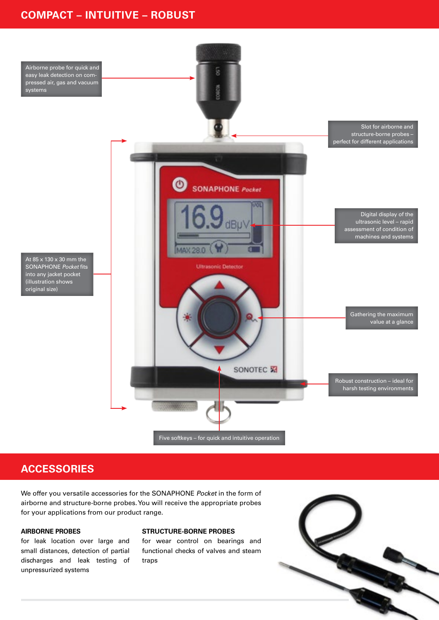# **COMPACT – INTUITIVE – ROBUST**



## **ACCESSORIES**

We offer you versatile accessories for the SONAPHONE Pocket in the form of airborne and structure-borne probes. You will receive the appropriate probes for your applications from our product range.

#### **AIRBORNE PROBES**

for leak location over large and small distances, detection of partial discharges and leak testing of unpressurized systems

#### **STRUCTURE-BORNE PROBES**

for wear control on bearings and functional checks of valves and steam traps